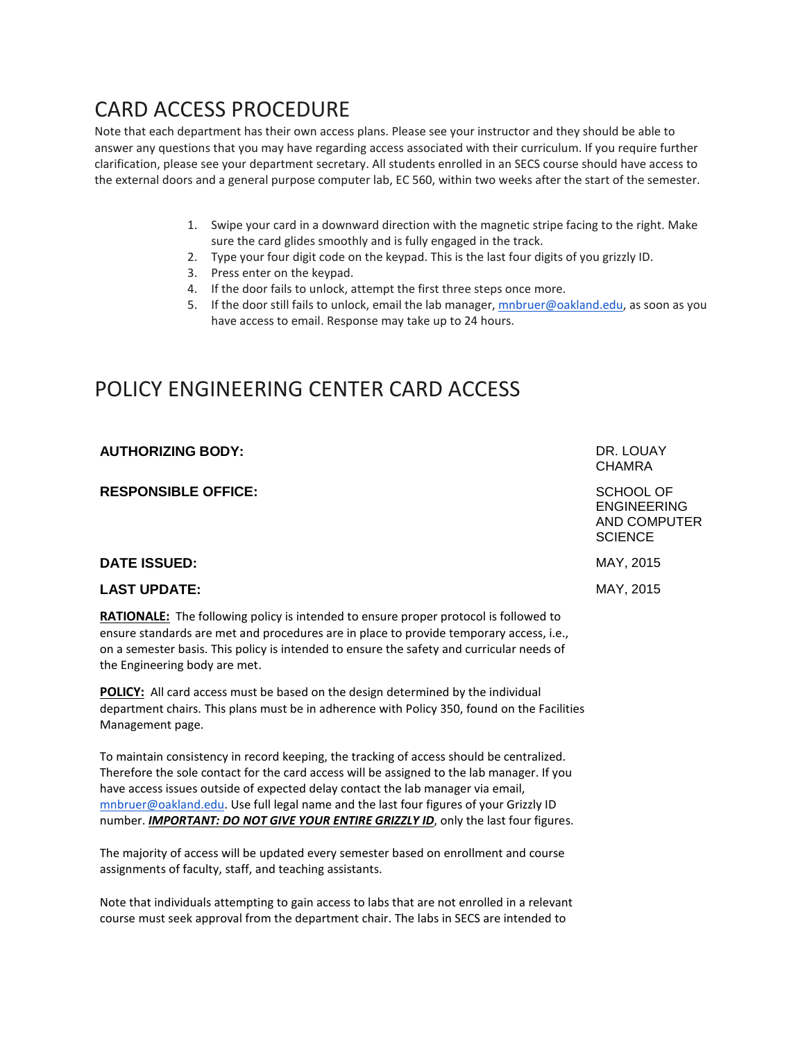## CARD ACCESS PROCEDURE

Note that each department has their own access plans. Please see your instructor and they should be able to answer any questions that you may have regarding access associated with their curriculum. If you require further clarification, please see your department secretary. All students enrolled in an SECS course should have access to the external doors and a general purpose computer lab, EC 560, within two weeks after the start of the semester.

- 1. Swipe your card in a downward direction with the magnetic stripe facing to the right. Make sure the card glides smoothly and is fully engaged in the track.
- 2. Type your four digit code on the keypad. This is the last four digits of you grizzly ID.
- 3. Press enter on the keypad.
- 4. If the door fails to unlock, attempt the first three steps once more.
- 5. If the door still fails to unlock, email the lab manager, [mnbruer@oakland.edu,](mailto:mnbruer@oakland.edu) as soon as you have access to email. Response may take up to 24 hours.

## POLICY ENGINEERING CENTER CARD ACCESS

| <b>AUTHORIZING BODY:</b>   | DR. LOUAY<br><b>CHAMRA</b>                                        |
|----------------------------|-------------------------------------------------------------------|
| <b>RESPONSIBLE OFFICE:</b> | SCHOOL OF<br><b>ENGINEERING</b><br>AND COMPUTER<br><b>SCIENCE</b> |
| <b>DATE ISSUED:</b>        | MAY, 2015                                                         |
| <b>LAST UPDATE:</b>        | MAY, 2015                                                         |
|                            |                                                                   |

**RATIONALE:** The following policy is intended to ensure proper protocol is followed to ensure standards are met and procedures are in place to provide temporary access, i.e., on a semester basis. This policy is intended to ensure the safety and curricular needs of the Engineering body are met.

**POLICY:** All card access must be based on the design determined by the individual department chairs. This plans must be in adherence with Policy 350, found on the Facilities Management page.

To maintain consistency in record keeping, the tracking of access should be centralized. Therefore the sole contact for the card access will be assigned to the lab manager. If you have access issues outside of expected delay contact the lab manager via email, [mnbruer@oakland.edu.](mailto:mnbruer@oakland.edu) Use full legal name and the last four figures of your Grizzly ID number. *IMPORTANT: DO NOT GIVE YOUR ENTIRE GRIZZLY ID*, only the last four figures.

The majority of access will be updated every semester based on enrollment and course assignments of faculty, staff, and teaching assistants.

Note that individuals attempting to gain access to labs that are not enrolled in a relevant course must seek approval from the department chair. The labs in SECS are intended to